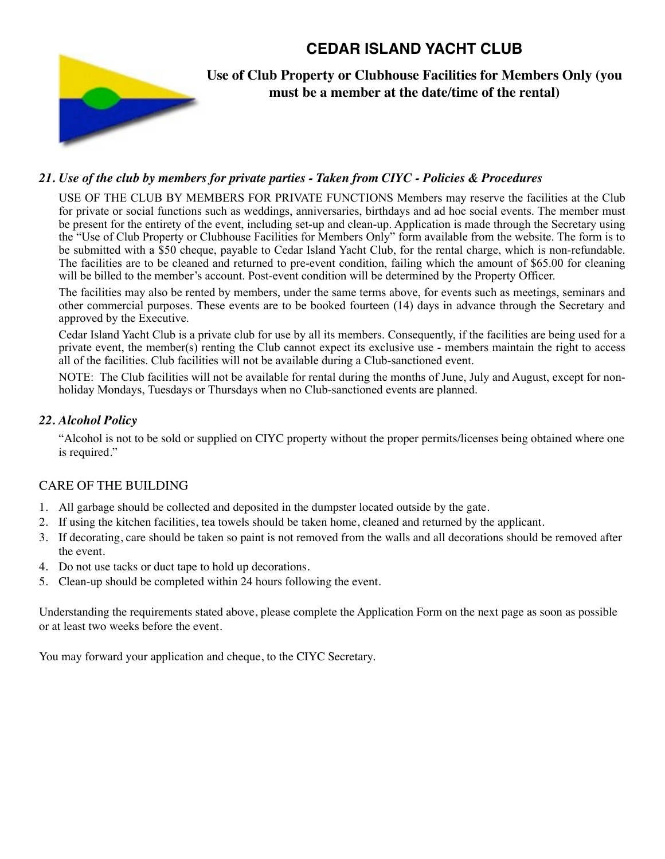# **CEDAR ISLAND YACHT CLUB**



**Use of Club Property or Clubhouse Facilities for Members Only (you must be a member at the date/time of the rental)**

### *21. Use of the club by members for private parties - Taken from CIYC - Policies & Procedures*

USE OF THE CLUB BY MEMBERS FOR PRIVATE FUNCTIONS Members may reserve the facilities at the Club for private or social functions such as weddings, anniversaries, birthdays and ad hoc social events. The member must be present for the entirety of the event, including set-up and clean-up. Application is made through the Secretary using the "Use of Club Property or Clubhouse Facilities for Members Only" form available from the website. The form is to be submitted with a \$50 cheque, payable to Cedar Island Yacht Club, for the rental charge, which is non-refundable. The facilities are to be cleaned and returned to pre-event condition, failing which the amount of \$65.00 for cleaning will be billed to the member's account. Post-event condition will be determined by the Property Officer.

The facilities may also be rented by members, under the same terms above, for events such as meetings, seminars and other commercial purposes. These events are to be booked fourteen (14) days in advance through the Secretary and approved by the Executive.

Cedar Island Yacht Club is a private club for use by all its members. Consequently, if the facilities are being used for a private event, the member(s) renting the Club cannot expect its exclusive use - members maintain the right to access all of the facilities. Club facilities will not be available during a Club-sanctioned event.

NOTE: The Club facilities will not be available for rental during the months of June, July and August, except for nonholiday Mondays, Tuesdays or Thursdays when no Club-sanctioned events are planned.

#### *22. Alcohol Policy*

"Alcohol is not to be sold or supplied on CIYC property without the proper permits/licenses being obtained where one is required."

#### CARE OF THE BUILDING

- 1. All garbage should be collected and deposited in the dumpster located outside by the gate.
- 2. If using the kitchen facilities, tea towels should be taken home, cleaned and returned by the applicant.
- 3. If decorating, care should be taken so paint is not removed from the walls and all decorations should be removed after the event.
- 4. Do not use tacks or duct tape to hold up decorations.
- 5. Clean-up should be completed within 24 hours following the event.

Understanding the requirements stated above, please complete the Application Form on the next page as soon as possible or at least two weeks before the event.

You may forward your application and cheque, to the CIYC Secretary.